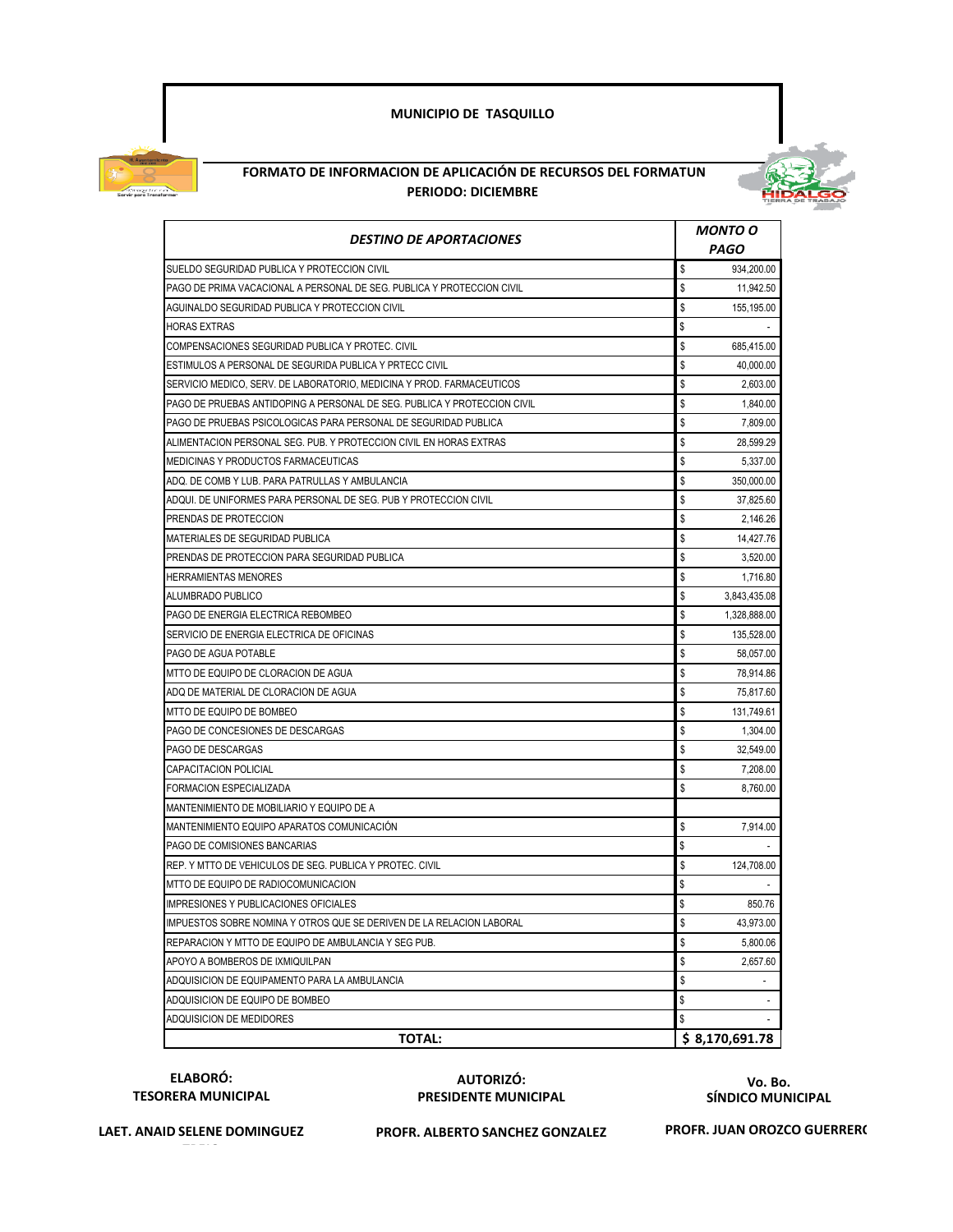## **MUNICIPIO DE TASQUILLO**



## **FORMATO DE INFORMACION DE APLICACIÓN DE RECURSOS DEL FORMATUN PERIODO: DICIEMBRE**



| <b>DESTINO DE APORTACIONES</b>                                           | <b>MONTO O</b> |                |
|--------------------------------------------------------------------------|----------------|----------------|
|                                                                          |                | PAGO           |
| SUELDO SEGURIDAD PUBLICA Y PROTECCION CIVIL                              | \$             | 934,200.00     |
| PAGO DE PRIMA VACACIONAL A PERSONAL DE SEG. PUBLICA Y PROTECCION CIVIL   | \$             | 11,942.50      |
| AGUINALDO SEGURIDAD PUBLICA Y PROTECCION CIVIL                           | \$             | 155,195.00     |
| <b>HORAS EXTRAS</b>                                                      | \$             |                |
| COMPENSACIONES SEGURIDAD PUBLICA Y PROTEC. CIVIL                         | \$             | 685,415.00     |
| ESTIMULOS A PERSONAL DE SEGURIDA PUBLICA Y PRTECC CIVIL                  | \$             | 40,000.00      |
| SERVICIO MEDICO, SERV. DE LABORATORIO, MEDICINA Y PROD. FARMACEUTICOS    | \$             | 2,603.00       |
| PAGO DE PRUEBAS ANTIDOPING A PERSONAL DE SEG. PUBLICA Y PROTECCION CIVIL | \$             | 1,840.00       |
| PAGO DE PRUEBAS PSICOLOGICAS PARA PERSONAL DE SEGURIDAD PUBLICA          | \$             | 7,809.00       |
| ALIMENTACION PERSONAL SEG. PUB. Y PROTECCION CIVIL EN HORAS EXTRAS       | \$             | 28,599.29      |
| MEDICINAS Y PRODUCTOS FARMACEUTICAS                                      | \$             | 5,337.00       |
| ADQ. DE COMB Y LUB. PARA PATRULLAS Y AMBULANCIA                          | \$             | 350,000.00     |
| ADQUI. DE UNIFORMES PARA PERSONAL DE SEG. PUB Y PROTECCION CIVIL         | \$             | 37,825.60      |
| PRENDAS DE PROTECCION                                                    | \$             | 2,146.26       |
| MATERIALES DE SEGURIDAD PUBLICA                                          | \$             | 14,427.76      |
| PRENDAS DE PROTECCION PARA SEGURIDAD PUBLICA                             | \$             | 3,520.00       |
| <b>HERRAMIENTAS MENORES</b>                                              | \$             | 1,716.80       |
| ALUMBRADO PUBLICO                                                        | \$             | 3,843,435.08   |
| PAGO DE ENERGIA ELECTRICA REBOMBEO                                       | \$             | 1,328,888.00   |
| SERVICIO DE ENERGIA ELECTRICA DE OFICINAS                                | \$             | 135,528.00     |
| PAGO DE AGUA POTABLE                                                     | \$             | 58,057.00      |
| MTTO DE EQUIPO DE CLORACION DE AGUA                                      | \$             | 78,914.86      |
| ADQ DE MATERIAL DE CLORACION DE AGUA                                     | \$             | 75,817.60      |
| MTTO DE EQUIPO DE BOMBEO                                                 | \$             | 131,749.61     |
| PAGO DE CONCESIONES DE DESCARGAS                                         | \$             | 1,304.00       |
| PAGO DE DESCARGAS                                                        | \$             | 32,549.00      |
| CAPACITACION POLICIAL                                                    | \$             | 7,208.00       |
| FORMACION ESPECIALIZADA                                                  | \$             | 8,760.00       |
| MANTENIMIENTO DE MOBILIARIO Y EQUIPO DE A                                |                |                |
| MANTENIMIENTO EQUIPO APARATOS COMUNICACIÓN                               | \$             | 7,914.00       |
| PAGO DE COMISIONES BANCARIAS                                             | \$             |                |
| REP. Y MTTO DE VEHICULOS DE SEG. PUBLICA Y PROTEC. CIVIL                 | \$             | 124,708.00     |
| MTTO DE EQUIPO DE RADIOCOMUNICACION                                      | \$             |                |
| IMPRESIONES Y PUBLICACIONES OFICIALES                                    | \$             | 850.76         |
| IMPUESTOS SOBRE NOMINA Y OTROS QUE SE DERIVEN DE LA RELACION LABORAL     | \$             | 43,973.00      |
| REPARACION Y MTTO DE EQUIPO DE AMBULANCIA Y SEG PUB.                     | \$             | 5,800.06       |
| APOYO A BOMBEROS DE IXMIQUILPAN                                          | \$             | 2,657.60       |
| ADQUISICION DE EQUIPAMENTO PARA LA AMBULANCIA                            | \$             |                |
| ADQUISICION DE EQUIPO DE BOMBEO                                          | \$             |                |
| ADQUISICION DE MEDIDORES                                                 | \$             |                |
| <b>TOTAL:</b>                                                            |                | \$8,170,691.78 |

**ELABORÓ: TESORERA MUNICIPAL**

## **AUTORIZÓ: PRESIDENTE MUNICIPAL**

**Vo. Bo. SÍNDICO MUNICIPAL**

**TREJO**

**LAET. ANAID SELENE DOMINGUEZ PROFR. ALBERTO SANCHEZ GONZALEZ**

**PROFR. JUAN OROZCO GUERRER(**